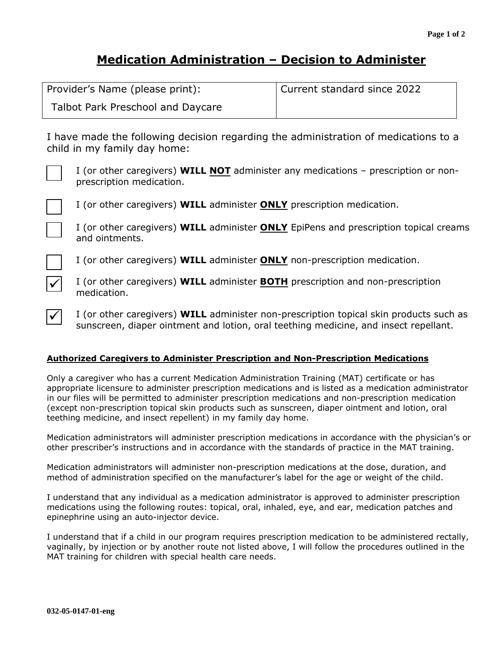# **Medication Administration – Decision to Administer**

| Provider's Name (please print):   | Current standard since 2022 |
|-----------------------------------|-----------------------------|
| Talbot Park Preschool and Daycare |                             |

I have made the following decision regarding the administration of medications to a child in my family day home:



I (or other caregivers) **WILL NOT** administer any medications – prescription or nonprescription medication.



I (or other caregivers) **WILL** administer **ONLY** prescription medication.



I (or other caregivers) **WILL** administer **ONLY** EpiPens and prescription topical creams and ointments.

I (or other caregivers) **WILL** administer **ONLY** non-prescription medication.



 $\blacktriangledown$ 

I (or other caregivers) **WILL** administer **BOTH** prescription and non-prescription medication.

I (or other caregivers) **WILL** administer non-prescription topical skin products such as sunscreen, diaper ointment and lotion, oral teething medicine, and insect repellant.

## **Authorized Caregivers to Administer Prescription and Non-Prescription Medications**

Only a caregiver who has a current Medication Administration Training (MAT) certificate or has appropriate licensure to administer prescription medications and is listed as a medication administrator in our files will be permitted to administer prescription medications and non-prescription medication (except non-prescription topical skin products such as sunscreen, diaper ointment and lotion, oral teething medicine, and insect repellent) in my family day home.

Medication administrators will administer prescription medications in accordance with the physician's or other prescriber's instructions and in accordance with the standards of practice in the MAT training.

Medication administrators will administer non-prescription medications at the dose, duration, and method of administration specified on the manufacturer's label for the age or weight of the child.

I understand that any individual as a medication administrator is approved to administer prescription medications using the following routes: topical, oral, inhaled, eye, and ear, medication patches and epinephrine using an auto-injector device.

I understand that if a child in our program requires prescription medication to be administered rectally, vaginally, by injection or by another route not listed above, I will follow the procedures outlined in the MAT training for children with special health care needs.